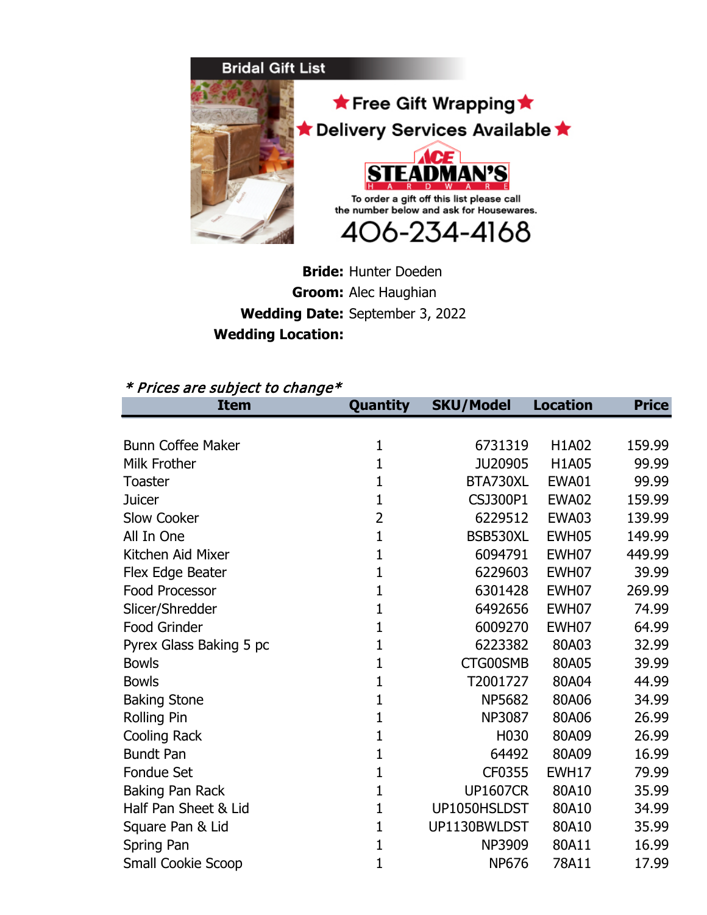

## **Bride:** Hunter Doeden **Groom:** Alec Haughian **Wedding Date:** September 3, 2022**Wedding Location:**

## \* Prices are subject to change\*

| Item                     | Quantity       | <b>SKU/Model</b> | Location | Price  |
|--------------------------|----------------|------------------|----------|--------|
|                          |                |                  |          |        |
| <b>Bunn Coffee Maker</b> | $\mathbf{1}$   | 6731319          | H1A02    | 159.99 |
| Milk Frother             | 1              | JU20905          | H1A05    | 99.99  |
| <b>Toaster</b>           | 1              | BTA730XL         | EWA01    | 99.99  |
| <b>Juicer</b>            | 1              | CSJ300P1         | EWA02    | 159.99 |
| <b>Slow Cooker</b>       | $\overline{2}$ | 6229512          | EWA03    | 139.99 |
| All In One               | 1              | BSB530XL         | EWH05    | 149.99 |
| Kitchen Aid Mixer        | 1              | 6094791          | EWH07    | 449.99 |
| Flex Edge Beater         | 1              | 6229603          | EWH07    | 39.99  |
| <b>Food Processor</b>    | 1              | 6301428          | EWH07    | 269.99 |
| Slicer/Shredder          | 1              | 6492656          | EWH07    | 74.99  |
| Food Grinder             | 1              | 6009270          | EWH07    | 64.99  |
| Pyrex Glass Baking 5 pc  | 1              | 6223382          | 80A03    | 32.99  |
| <b>Bowls</b>             | 1              | CTG00SMB         | 80A05    | 39.99  |
| <b>Bowls</b>             | 1              | T2001727         | 80A04    | 44.99  |
| <b>Baking Stone</b>      | 1              | <b>NP5682</b>    | 80A06    | 34.99  |
| <b>Rolling Pin</b>       | $\mathbf 1$    | <b>NP3087</b>    | 80A06    | 26.99  |
| Cooling Rack             | $\mathbf{1}$   | H030             | 80A09    | 26.99  |
| <b>Bundt Pan</b>         | 1              | 64492            | 80A09    | 16.99  |
| <b>Fondue Set</b>        | 1              | CF0355           | EWH17    | 79.99  |
| Baking Pan Rack          | 1              | <b>UP1607CR</b>  | 80A10    | 35.99  |
| Half Pan Sheet & Lid     | 1              | UP1050HSLDST     | 80A10    | 34.99  |
| Square Pan & Lid         | 1              | UP1130BWLDST     | 80A10    | 35.99  |
| Spring Pan               | 1              | NP3909           | 80A11    | 16.99  |
| Small Cookie Scoop       | $\mathbf{1}$   | <b>NP676</b>     | 78A11    | 17.99  |
|                          |                |                  |          |        |